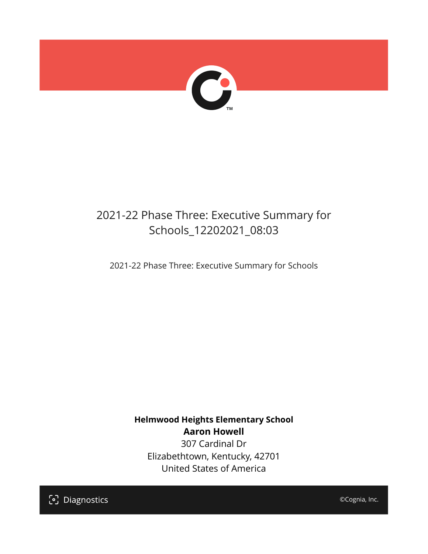

## 2021-22 Phase Three: Executive Summary for Schools\_12202021\_08:03

2021-22 Phase Three: Executive Summary for Schools

**Helmwood Heights Elementary School Aaron Howell** 307 Cardinal Dr Elizabethtown, Kentucky, 42701 United States of America

[၁] Diagnostics

©Cognia, Inc.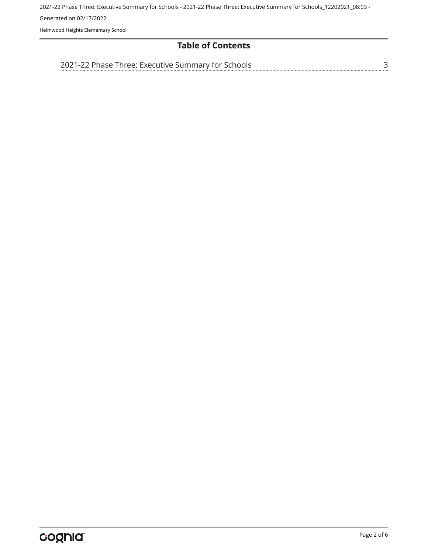2021-22 Phase Three: Executive Summary for Schools - 2021-22 Phase Three: Executive Summary for Schools\_12202021\_08:03 - Generated on 02/17/2022 Helmwood Heights Elementary School

#### **Table of Contents**

[3](#page-2-0)

[2021-22 Phase Three: Executive Summary for Schools](#page-2-0)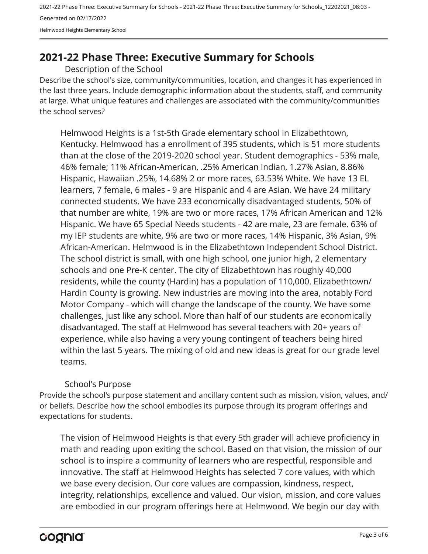2021-22 Phase Three: Executive Summary for Schools - 2021-22 Phase Three: Executive Summary for Schools\_12202021\_08:03 - Generated on 02/17/2022 Helmwood Heights Elementary School

### <span id="page-2-0"></span>**2021-22 Phase Three: Executive Summary for Schools**

Description of the School

Describe the school's size, community/communities, location, and changes it has experienced in the last three years. Include demographic information about the students, staff, and community at large. What unique features and challenges are associated with the community/communities the school serves?

Helmwood Heights is a 1st-5th Grade elementary school in Elizabethtown, Kentucky. Helmwood has a enrollment of 395 students, which is 51 more students than at the close of the 2019-2020 school year. Student demographics - 53% male, 46% female; 11% African-American, .25% American Indian, 1.27% Asian, 8.86% Hispanic, Hawaiian .25%, 14.68% 2 or more races, 63.53% White. We have 13 EL learners, 7 female, 6 males - 9 are Hispanic and 4 are Asian. We have 24 military connected students. We have 233 economically disadvantaged students, 50% of that number are white, 19% are two or more races, 17% African American and 12% Hispanic. We have 65 Special Needs students - 42 are male, 23 are female. 63% of my IEP students are white, 9% are two or more races, 14% Hispanic, 3% Asian, 9% African-American. Helmwood is in the Elizabethtown Independent School District. The school district is small, with one high school, one junior high, 2 elementary schools and one Pre-K center. The city of Elizabethtown has roughly 40,000 residents, while the county (Hardin) has a population of 110,000. Elizabethtown/ Hardin County is growing. New industries are moving into the area, notably Ford Motor Company - which will change the landscape of the county. We have some challenges, just like any school. More than half of our students are economically disadvantaged. The staff at Helmwood has several teachers with 20+ years of experience, while also having a very young contingent of teachers being hired within the last 5 years. The mixing of old and new ideas is great for our grade level teams.

#### School's Purpose

Provide the school's purpose statement and ancillary content such as mission, vision, values, and/ or beliefs. Describe how the school embodies its purpose through its program offerings and expectations for students.

The vision of Helmwood Heights is that every 5th grader will achieve proficiency in math and reading upon exiting the school. Based on that vision, the mission of our school is to inspire a community of learners who are respectful, responsible and innovative. The staff at Helmwood Heights has selected 7 core values, with which we base every decision. Our core values are compassion, kindness, respect, integrity, relationships, excellence and valued. Our vision, mission, and core values are embodied in our program offerings here at Helmwood. We begin our day with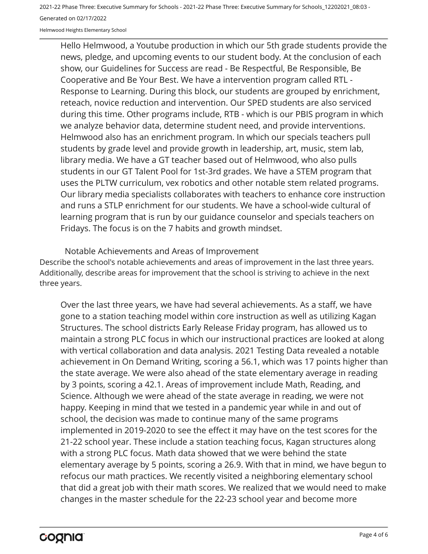2021-22 Phase Three: Executive Summary for Schools - 2021-22 Phase Three: Executive Summary for Schools\_12202021\_08:03 - Generated on 02/17/2022

Helmwood Heights Elementary School

Hello Helmwood, a Youtube production in which our 5th grade students provide the news, pledge, and upcoming events to our student body. At the conclusion of each show, our Guidelines for Success are read - Be Respectful, Be Responsible, Be Cooperative and Be Your Best. We have a intervention program called RTL - Response to Learning. During this block, our students are grouped by enrichment, reteach, novice reduction and intervention. Our SPED students are also serviced during this time. Other programs include, RTB - which is our PBIS program in which we analyze behavior data, determine student need, and provide interventions. Helmwood also has an enrichment program. In which our specials teachers pull students by grade level and provide growth in leadership, art, music, stem lab, library media. We have a GT teacher based out of Helmwood, who also pulls students in our GT Talent Pool for 1st-3rd grades. We have a STEM program that uses the PLTW curriculum, vex robotics and other notable stem related programs. Our library media specialists collaborates with teachers to enhance core instruction and runs a STLP enrichment for our students. We have a school-wide cultural of learning program that is run by our guidance counselor and specials teachers on Fridays. The focus is on the 7 habits and growth mindset.

Describe the school's notable achievements and areas of improvement in the last three years. Additionally, describe areas for improvement that the school is striving to achieve in the next three years. Notable Achievements and Areas of Improvement

Over the last three years, we have had several achievements. As a staff, we have gone to a station teaching model within core instruction as well as utilizing Kagan Structures. The school districts Early Release Friday program, has allowed us to maintain a strong PLC focus in which our instructional practices are looked at along with vertical collaboration and data analysis. 2021 Testing Data revealed a notable achievement in On Demand Writing, scoring a 56.1, which was 17 points higher than the state average. We were also ahead of the state elementary average in reading by 3 points, scoring a 42.1. Areas of improvement include Math, Reading, and Science. Although we were ahead of the state average in reading, we were not happy. Keeping in mind that we tested in a pandemic year while in and out of school, the decision was made to continue many of the same programs implemented in 2019-2020 to see the effect it may have on the test scores for the 21-22 school year. These include a station teaching focus, Kagan structures along with a strong PLC focus. Math data showed that we were behind the state elementary average by 5 points, scoring a 26.9. With that in mind, we have begun to refocus our math practices. We recently visited a neighboring elementary school that did a great job with their math scores. We realized that we would need to make changes in the master schedule for the 22-23 school year and become more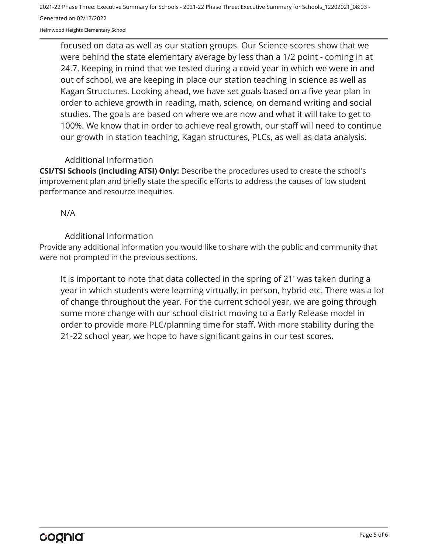2021-22 Phase Three: Executive Summary for Schools - 2021-22 Phase Three: Executive Summary for Schools\_12202021\_08:03 - Generated on 02/17/2022

Helmwood Heights Elementary School

focused on data as well as our station groups. Our Science scores show that we were behind the state elementary average by less than a 1/2 point - coming in at 24.7. Keeping in mind that we tested during a covid year in which we were in and out of school, we are keeping in place our station teaching in science as well as Kagan Structures. Looking ahead, we have set goals based on a five year plan in order to achieve growth in reading, math, science, on demand writing and social studies. The goals are based on where we are now and what it will take to get to 100%. We know that in order to achieve real growth, our staff will need to continue our growth in station teaching, Kagan structures, PLCs, as well as data analysis.

#### Additional Information

**CSI/TSI Schools (including ATSI) Only:** Describe the procedures used to create the school's improvement plan and briefly state the specific efforts to address the causes of low student performance and resource inequities.

N/A

#### Additional Information

Provide any additional information you would like to share with the public and community that were not prompted in the previous sections.

It is important to note that data collected in the spring of 21' was taken during a year in which students were learning virtually, in person, hybrid etc. There was a lot of change throughout the year. For the current school year, we are going through some more change with our school district moving to a Early Release model in order to provide more PLC/planning time for staff. With more stability during the 21-22 school year, we hope to have significant gains in our test scores.